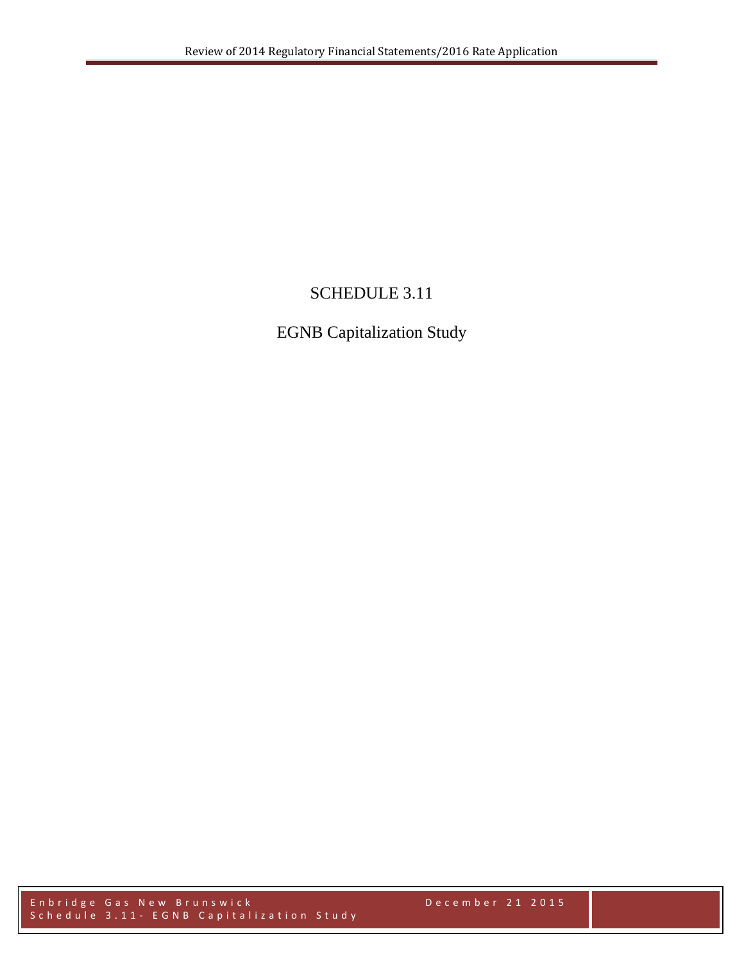# SCHEDULE 3.11

# EGNB Capitalization Study

Enbridge Gas New Brunswick December 2 1 2015 Schedule 3.11 - EGNB Capitalization Study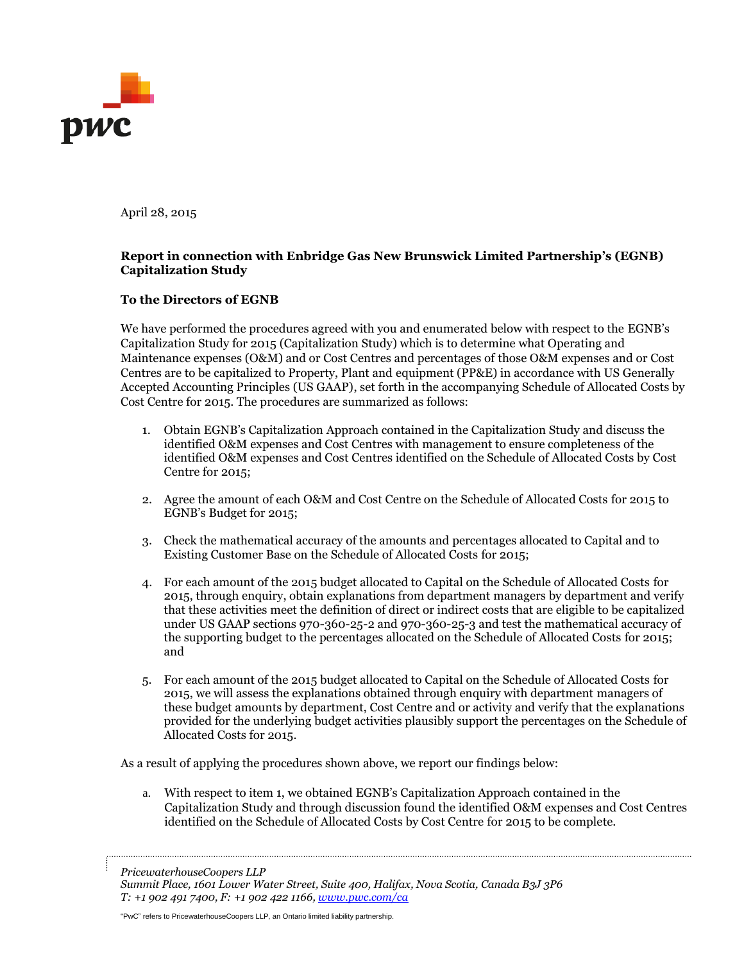

April 28, 2015

#### **Report in connection with Enbridge Gas New Brunswick Limited Partnership's (EGNB) Capitalization Study**

#### **To the Directors of EGNB**

We have performed the procedures agreed with you and enumerated below with respect to the EGNB's Capitalization Study for 2015 (Capitalization Study) which is to determine what Operating and Maintenance expenses (O&M) and or Cost Centres and percentages of those O&M expenses and or Cost Centres are to be capitalized to Property, Plant and equipment (PP&E) in accordance with US Generally Accepted Accounting Principles (US GAAP), set forth in the accompanying Schedule of Allocated Costs by Cost Centre for 2015. The procedures are summarized as follows:

- 1. Obtain EGNB's Capitalization Approach contained in the Capitalization Study and discuss the identified O&M expenses and Cost Centres with management to ensure completeness of the identified O&M expenses and Cost Centres identified on the Schedule of Allocated Costs by Cost Centre for 2015;
- 2. Agree the amount of each O&M and Cost Centre on the Schedule of Allocated Costs for 2015 to EGNB's Budget for 2015;
- 3. Check the mathematical accuracy of the amounts and percentages allocated to Capital and to Existing Customer Base on the Schedule of Allocated Costs for 2015;
- 4. For each amount of the 2015 budget allocated to Capital on the Schedule of Allocated Costs for 2015, through enquiry, obtain explanations from department managers by department and verify that these activities meet the definition of direct or indirect costs that are eligible to be capitalized under US GAAP sections 970-360-25-2 and 970-360-25-3 and test the mathematical accuracy of the supporting budget to the percentages allocated on the Schedule of Allocated Costs for 2015; and
- 5. For each amount of the 2015 budget allocated to Capital on the Schedule of Allocated Costs for 2015, we will assess the explanations obtained through enquiry with department managers of these budget amounts by department, Cost Centre and or activity and verify that the explanations provided for the underlying budget activities plausibly support the percentages on the Schedule of Allocated Costs for 2015.

As a result of applying the procedures shown above, we report our findings below:

a. With respect to item 1, we obtained EGNB's Capitalization Approach contained in the Capitalization Study and through discussion found the identified O&M expenses and Cost Centres identified on the Schedule of Allocated Costs by Cost Centre for 2015 to be complete.

"PwC" refers to PricewaterhouseCoopers LLP, an Ontario limited liability partnership.

*PricewaterhouseCoopers LLP*

*Summit Place, 1601 Lower Water Street, Suite 400, Halifax, Nova Scotia, Canada B3J 3P6 T: +1 902 491 7400, F: +1 902 422 1166, [www.pwc.com/ca](http://www.pwc.com/ca)*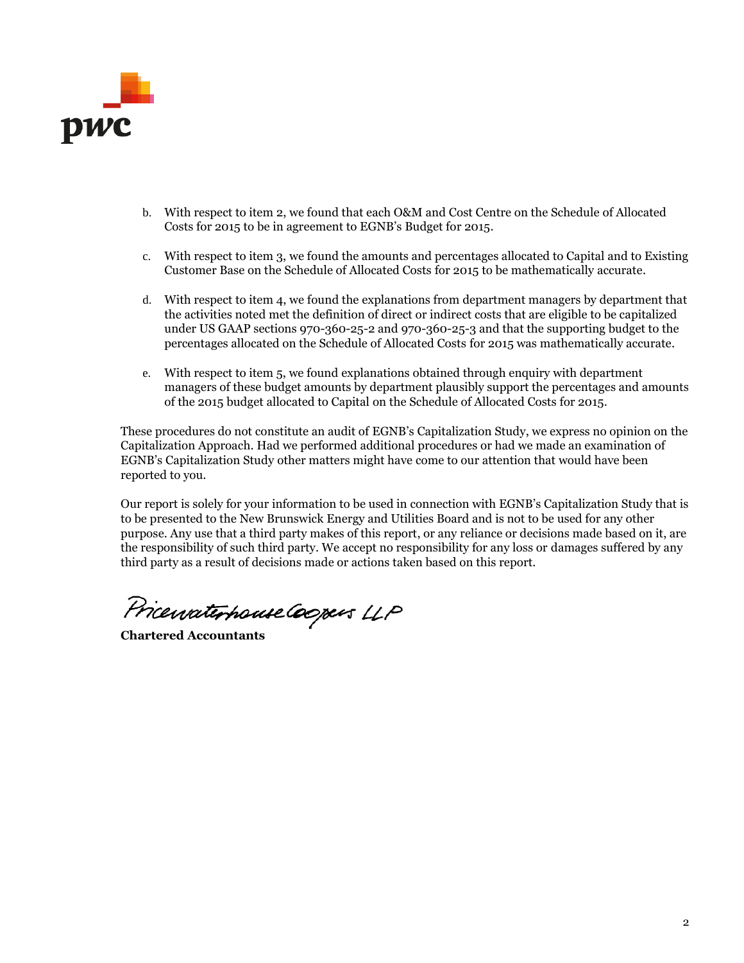

- b. With respect to item 2, we found that each O&M and Cost Centre on the Schedule of Allocated Costs for 2015 to be in agreement to EGNB's Budget for 2015.
- c. With respect to item 3, we found the amounts and percentages allocated to Capital and to Existing Customer Base on the Schedule of Allocated Costs for 2015 to be mathematically accurate.
- d. With respect to item 4, we found the explanations from department managers by department that the activities noted met the definition of direct or indirect costs that are eligible to be capitalized under US GAAP sections 970-360-25-2 and 970-360-25-3 and that the supporting budget to the percentages allocated on the Schedule of Allocated Costs for 2015 was mathematically accurate.
- e. With respect to item 5, we found explanations obtained through enquiry with department managers of these budget amounts by department plausibly support the percentages and amounts of the 2015 budget allocated to Capital on the Schedule of Allocated Costs for 2015.

These procedures do not constitute an audit of EGNB's Capitalization Study, we express no opinion on the Capitalization Approach. Had we performed additional procedures or had we made an examination of EGNB's Capitalization Study other matters might have come to our attention that would have been reported to you.

Our report is solely for your information to be used in connection with EGNB's Capitalization Study that is to be presented to the New Brunswick Energy and Utilities Board and is not to be used for any other purpose. Any use that a third party makes of this report, or any reliance or decisions made based on it, are the responsibility of such third party. We accept no responsibility for any loss or damages suffered by any third party as a result of decisions made or actions taken based on this report.

Pricewaterhouse Coopers LLP

**Chartered Accountants**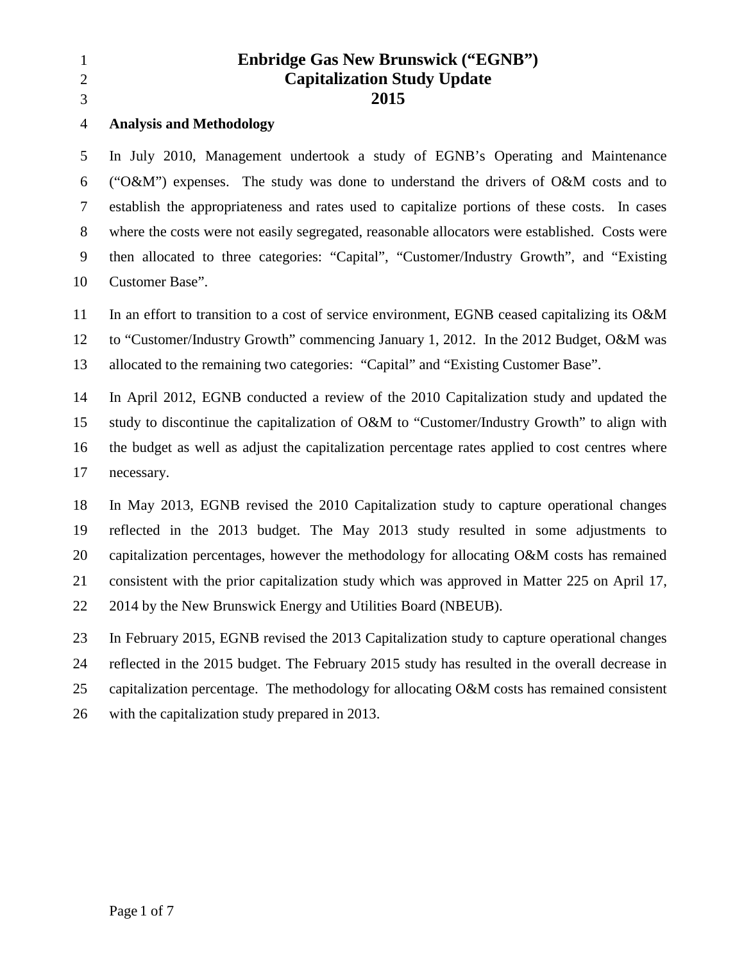| 1<br>$\overline{2}$<br>3 | <b>Enbridge Gas New Brunswick ("EGNB")</b><br><b>Capitalization Study Update</b><br>2015       |
|--------------------------|------------------------------------------------------------------------------------------------|
| 4                        | <b>Analysis and Methodology</b>                                                                |
| 5                        | In July 2010, Management undertook a study of EGNB's Operating and Maintenance                 |
| 6                        | ("O&M") expenses. The study was done to understand the drivers of O&M costs and to             |
| 7                        | establish the appropriateness and rates used to capitalize portions of these costs. In cases   |
| 8                        | where the costs were not easily segregated, reasonable allocators were established. Costs were |
| 9                        | then allocated to three categories: "Capital", "Customer/Industry Growth", and "Existing       |
| 10                       | Customer Base".                                                                                |
| 11                       | In an effort to transition to a cost of service environment, EGNB ceased capitalizing its O&M  |
| 12                       | to "Customer/Industry Growth" commencing January 1, 2012. In the 2012 Budget, O&M was          |
| 13                       | allocated to the remaining two categories: "Capital" and "Existing Customer Base".             |
| 14                       | In April 2012, EGNB conducted a review of the 2010 Capitalization study and updated the        |
| 15                       | study to discontinue the capitalization of O&M to "Customer/Industry Growth" to align with     |

2014 by the New Brunswick Energy and Utilities Board (NBEUB).

 In February 2015, EGNB revised the 2013 Capitalization study to capture operational changes reflected in the 2015 budget. The February 2015 study has resulted in the overall decrease in capitalization percentage. The methodology for allocating O&M costs has remained consistent with the capitalization study prepared in 2013.

the budget as well as adjust the capitalization percentage rates applied to cost centres where

In May 2013, EGNB revised the 2010 Capitalization study to capture operational changes

reflected in the 2013 budget. The May 2013 study resulted in some adjustments to

capitalization percentages, however the methodology for allocating O&M costs has remained

consistent with the prior capitalization study which was approved in Matter 225 on April 17,

necessary.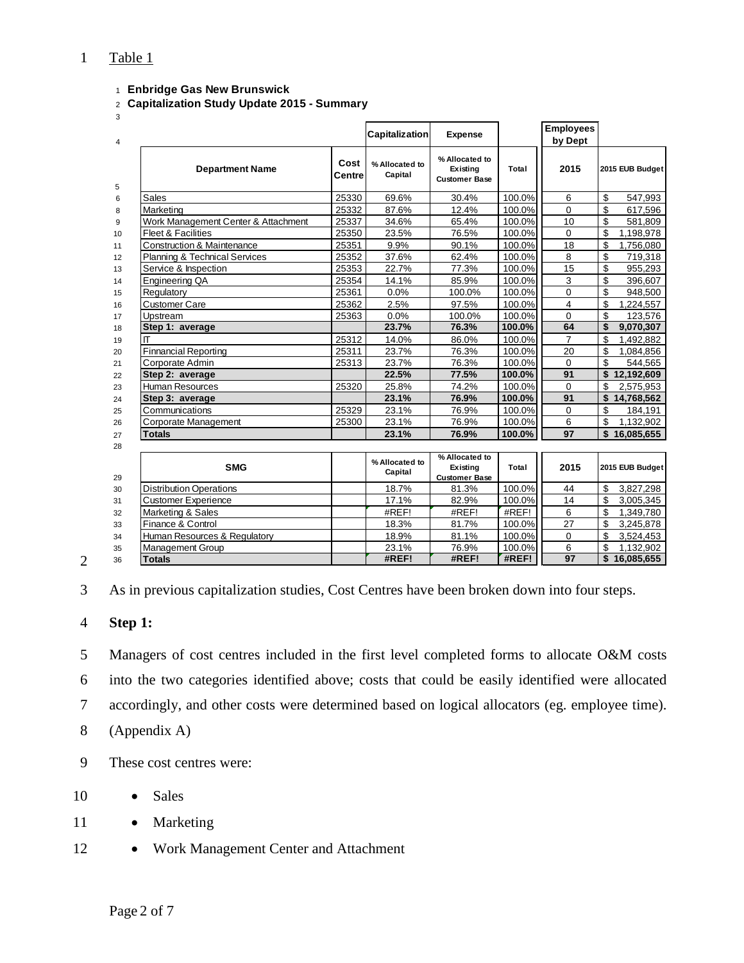## Table 1

- **Enbridge Gas New Brunswick**
- **Capitalization Study Update 2015 Summary**
- 

| 4 |                                          |                | <b>Capitalization</b>     | <b>Expense</b>                                     |        | <b>Employees</b><br>by Dept |                  |
|---|------------------------------------------|----------------|---------------------------|----------------------------------------------------|--------|-----------------------------|------------------|
| 5 | <b>Department Name</b>                   | Cost<br>Centre | % Allocated to<br>Capital | % Allocated to<br>Existing<br><b>Customer Base</b> | Total  | 2015                        | 2015 EUB Budget  |
| 6 | Sales                                    | 25330          | 69.6%                     | 30.4%                                              | 100.0% | 6                           | \$<br>547,993    |
|   | Marketing                                | 25332          | 87.6%                     | 12.4%                                              | 100.0% | $\Omega$                    | \$<br>617,596    |
|   | Work Management Center & Attachment      | 25337          | 34.6%                     | 65.4%                                              | 100.0% | 10                          | \$<br>581,809    |
|   | <b>Fleet &amp; Facilities</b>            | 25350          | 23.5%                     | 76.5%                                              | 100.0% | $\Omega$                    | \$<br>1,198,978  |
|   | <b>Construction &amp; Maintenance</b>    | 25351          | 9.9%                      | 90.1%                                              | 100.0% | 18                          | \$<br>1,756,080  |
|   | <b>Planning &amp; Technical Services</b> | 25352          | 37.6%                     | 62.4%                                              | 100.0% | 8                           | \$<br>719,318    |
|   | Service & Inspection                     | 25353          | 22.7%                     | 77.3%                                              | 100.0% | 15                          | \$<br>955,293    |
|   | Engineering QA                           | 25354          | 14.1%                     | 85.9%                                              | 100.0% | 3                           | \$<br>396,607    |
|   | Regulatory                               | 25361          | 0.0%                      | 100.0%                                             | 100.0% | $\overline{0}$              | \$<br>948,500    |
|   | <b>Customer Care</b>                     | 25362          | 2.5%                      | 97.5%                                              | 100.0% | 4                           | \$<br>1,224,557  |
|   | Upstream                                 | 25363          | 0.0%                      | 100.0%                                             | 100.0% | $\Omega$                    | \$<br>123,576    |
|   | Step 1: average                          |                | 23.7%                     | 76.3%                                              | 100.0% | 64                          | \$<br>9,070,307  |
| П |                                          | 25312          | 14.0%                     | 86.0%                                              | 100.0% | $\overline{7}$              | \$<br>1,492,882  |
|   | <b>Finnancial Reporting</b>              | 25311          | 23.7%                     | 76.3%                                              | 100.0% | 20                          | \$<br>1,084,856  |
|   | Corporate Admin                          | 25313          | 23.7%                     | 76.3%                                              | 100.0% | $\mathbf 0$                 | \$<br>544,565    |
|   | Step 2: average                          |                | 22.5%                     | 77.5%                                              | 100.0% | 91                          | \$<br>12,192,609 |
|   | Human Resources                          | 25320          | 25.8%                     | 74.2%                                              | 100.0% | $\mathbf 0$                 | \$<br>2,575,953  |
|   | Step 3: average                          |                | 23.1%                     | 76.9%                                              | 100.0% | 91                          | \$<br>14,768,562 |
|   | Communications                           | 25329          | 23.1%                     | 76.9%                                              | 100.0% | $\Omega$                    | \$<br>184,191    |
|   | Corporate Management                     | 25300          | 23.1%                     | 76.9%                                              | 100.0% | 6                           | \$<br>1,132,902  |
|   | <b>Totals</b>                            |                | 23.1%                     | 76.9%                                              | 100.0% | 97                          | \$16,085,655     |
|   |                                          |                |                           |                                                    |        |                             |                  |
|   | <b>SMG</b>                               |                | % Allocated to<br>Capital | % Allocated to<br>Existing<br><b>Customer Base</b> | Total  | 2015                        | 2015 EUB Budget  |
|   | Distribution Operations                  |                | 18.7%                     | 81.3%                                              | 100.0% | 44                          | \$<br>3,827,298  |
|   | <b>Customer Experience</b>               |                | 17.1%                     | 82.9%                                              | 100.0% | 14                          | \$<br>3,005,345  |
|   | Marketing & Sales                        |                | #REF!                     | #REF!                                              | #REF!  | 6                           | \$<br>1,349,780  |
|   | Finance & Control                        |                | 18.3%                     | 81.7%                                              | 100.0% | 27                          | \$<br>3,245,878  |
|   | Human Resources & Regulatory             |                | 18.9%                     | 81.1%                                              | 100.0% | $\mathbf 0$                 | \$<br>3,524,453  |
|   | <b>Management Group</b>                  |                | 23.1%                     | 76.9%                                              | 100.0% | 6                           | \$<br>1,132,902  |
|   | <b>Totals</b>                            |                | #REF!                     | #REF!                                              | #REF!  | $\overline{97}$             | \$<br>16,085,655 |

As in previous capitalization studies, Cost Centres have been broken down into four steps.

## **Step 1:**

 Managers of cost centres included in the first level completed forms to allocate O&M costs into the two categories identified above; costs that could be easily identified were allocated accordingly, and other costs were determined based on logical allocators (eg. employee time). (Appendix A)

These cost centres were:

• Sales

- 11 Marketing
- 12 Work Management Center and Attachment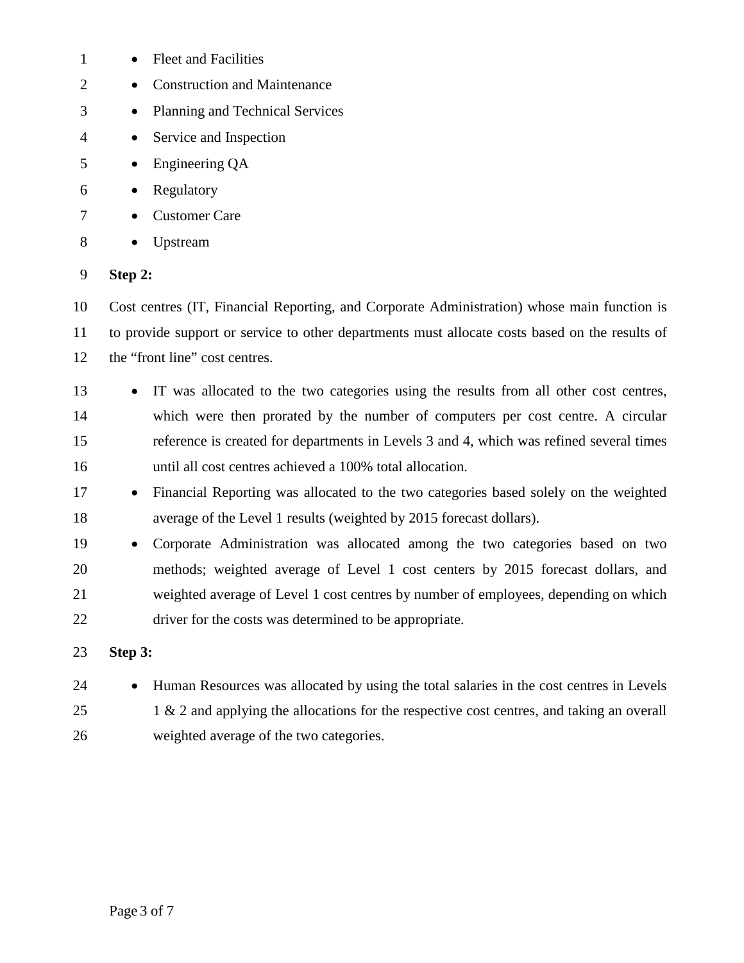| 1              | <b>Fleet and Facilities</b>                                                                    |
|----------------|------------------------------------------------------------------------------------------------|
| 2              | <b>Construction and Maintenance</b>                                                            |
| 3              | Planning and Technical Services<br>$\bullet$                                                   |
| $\overline{4}$ | Service and Inspection                                                                         |
| 5              | Engineering QA<br>$\bullet$                                                                    |
| 6              | Regulatory                                                                                     |
| 7              | <b>Customer Care</b>                                                                           |
| 8              | Upstream                                                                                       |
| 9              | Step 2:                                                                                        |
| 10             | Cost centres (IT, Financial Reporting, and Corporate Administration) whose main function is    |
| 11             | to provide support or service to other departments must allocate costs based on the results of |
| 12             | the "front line" cost centres.                                                                 |
| 13             | IT was allocated to the two categories using the results from all other cost centres,          |
| 14             | which were then prorated by the number of computers per cost centre. A circular                |
| 15             | reference is created for departments in Levels 3 and 4, which was refined several times        |
| 16             | until all cost centres achieved a 100% total allocation.                                       |
| 17             | Financial Reporting was allocated to the two categories based solely on the weighted           |
| 18             | average of the Level 1 results (weighted by 2015 forecast dollars).                            |
| 19             | Corporate Administration was allocated among the two categories based on two                   |
| 20             | methods; weighted average of Level 1 cost centers by 2015 forecast dollars, and                |
| 21             | weighted average of Level 1 cost centres by number of employees, depending on which            |
| 22             | driver for the costs was determined to be appropriate.                                         |
| 23             | Step 3:                                                                                        |
| 24             | Human Resources was allocated by using the total salaries in the cost centres in Levels        |
| 25             | 1 & 2 and applying the allocations for the respective cost centres, and taking an overall      |
| 26             | weighted average of the two categories.                                                        |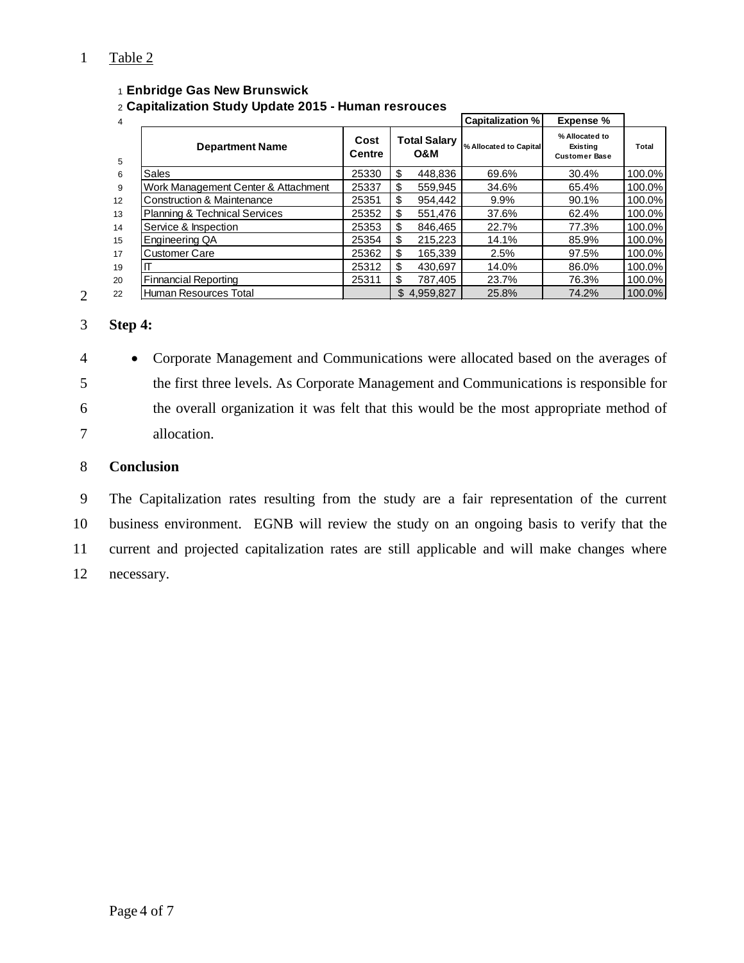# Table 2

#### **Enbridge Gas New Brunswick**

**Capitalization Study Update 2015 - Human resrouces**

| 4  |                                          |                |                            | <b>Capitalization %</b> | <b>Expense %</b>                                   |        |
|----|------------------------------------------|----------------|----------------------------|-------------------------|----------------------------------------------------|--------|
| 5  | <b>Department Name</b>                   | Cost<br>Centre | <b>Total Salary</b><br>O&M | % Allocated to Capital  | % Allocated to<br>Existing<br><b>Customer Base</b> | Total  |
| 6  | Sales                                    | 25330          | \$<br>448.836              | 69.6%                   | 30.4%                                              | 100.0% |
| 9  | Work Management Center & Attachment      | 25337          | \$<br>559.945              | 34.6%                   | 65.4%                                              | 100.0% |
| 12 | <b>Construction &amp; Maintenance</b>    | 25351          | \$<br>954.442              | $9.9\%$                 | 90.1%                                              | 100.0% |
| 13 | <b>Planning &amp; Technical Services</b> | 25352          | \$<br>551.476              | 37.6%                   | 62.4%                                              | 100.0% |
| 14 | Service & Inspection                     | 25353          | \$<br>846.465              | 22.7%                   | 77.3%                                              | 100.0% |
| 15 | Engineering QA                           | 25354          | \$<br>215,223              | 14.1%                   | 85.9%                                              | 100.0% |
| 17 | <b>Customer Care</b>                     | 25362          | \$<br>165.339              | 2.5%                    | 97.5%                                              | 100.0% |
| 19 | ιП                                       | 25312          | \$<br>430.697              | 14.0%                   | 86.0%                                              | 100.0% |
| 20 | <b>Finnancial Reporting</b>              | 25311          | \$<br>787.405              | 23.7%                   | 76.3%                                              | 100.0% |
| 22 | Human Resources Total                    |                | \$4.959.827                | 25.8%                   | 74.2%                                              | 100.0% |

## **Step 4:**

 • Corporate Management and Communications were allocated based on the averages of the first three levels. As Corporate Management and Communications is responsible for the overall organization it was felt that this would be the most appropriate method of allocation.

## **Conclusion**

 The Capitalization rates resulting from the study are a fair representation of the current business environment. EGNB will review the study on an ongoing basis to verify that the current and projected capitalization rates are still applicable and will make changes where necessary.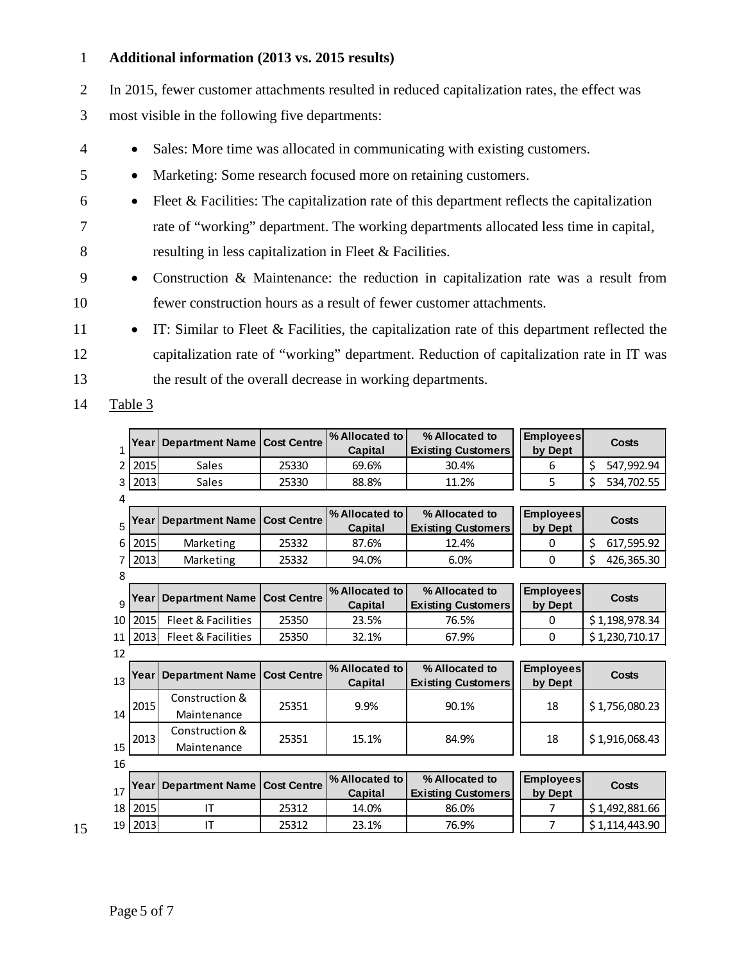#### 1 **Additional information (2013 vs. 2015 results)**

2 In 2015, fewer customer attachments resulted in reduced capitalization rates, the effect was

3 most visible in the following five departments:

- 4 Sales: More time was allocated in communicating with existing customers.
- 5 Marketing: Some research focused more on retaining customers.
- $6 \rightarrow$  Fleet & Facilities: The capitalization rate of this department reflects the capitalization 7 rate of "working" department. The working departments allocated less time in capital, 8 resulting in less capitalization in Fleet & Facilities.
- 9 Construction & Maintenance: the reduction in capitalization rate was a result from 10 fewer construction hours as a result of fewer customer attachments.
- 11 IT: Similar to Fleet & Facilities, the capitalization rate of this department reflected the 12 capitalization rate of "working" department. Reduction of capitalization rate in IT was 13 the result of the overall decrease in working departments.

14 Table 3

| 1  | Year | Department Name               | <b>Cost Centre</b> | % Allocated to<br>Capital | % Allocated to<br><b>Existing Customers</b> | <b>Employees</b><br>by Dept | Costs            |
|----|------|-------------------------------|--------------------|---------------------------|---------------------------------------------|-----------------------------|------------------|
| 2  | 2015 | Sales                         | 25330              | 69.6%                     | 30.4%                                       | 6                           | \$<br>547,992.94 |
| 3  | 2013 | Sales                         | 25330              | 88.8%                     | 11.2%                                       | 5                           | \$<br>534,702.55 |
| 4  |      |                               |                    |                           |                                             |                             |                  |
| 5  | Year | Department Name               | <b>Cost Centre</b> | % Allocated to<br>Capital | % Allocated to<br><b>Existing Customers</b> | <b>Employees</b><br>by Dept | Costs            |
| 6  | 2015 | Marketing                     | 25332              | 87.6%                     | 12.4%                                       | 0                           | \$<br>617,595.92 |
| 7  | 2013 | Marketing                     | 25332              | 94.0%                     | 6.0%                                        | $\mathbf{0}$                | \$<br>426,365.30 |
| 8  |      |                               |                    |                           |                                             |                             |                  |
|    | Year | <b>Department Name</b>        | <b>Cost Centre</b> | % Allocated to            | % Allocated to                              | <b>Employees</b>            | Costs            |
| 9  |      |                               |                    | Capital                   | <b>Existing Customers</b>                   | by Dept                     |                  |
| 10 | 2015 | Fleet & Facilities            | 25350              | 23.5%                     | 76.5%                                       | 0                           | \$1,198,978.34   |
| 11 | 2013 | Fleet & Facilities            | 25350              | 32.1%                     | 67.9%                                       | $\mathbf{0}$                | \$1,230,710.17   |
| 12 |      |                               |                    |                           |                                             |                             |                  |
| 13 | Year | <b>Department Name</b>        | <b>Cost Centre</b> | % Allocated to<br>Capital | % Allocated to<br><b>Existing Customers</b> | <b>Employees</b><br>by Dept | Costs            |
| 14 | 2015 | Construction &<br>Maintenance | 25351              | 9.9%                      | 90.1%                                       | 18                          | \$1,756,080.23   |
| 15 | 2013 | Construction &<br>Maintenance | 25351              | 15.1%                     | 84.9%                                       | 18                          | \$1,916,068.43   |
| 16 |      |                               |                    |                           |                                             |                             |                  |
| 17 | Year | <b>Department Name</b>        | <b>Cost Centre</b> | % Allocated to<br>Capital | % Allocated to<br><b>Existing Customers</b> | <b>Employees</b><br>by Dept | Costs            |
| 18 | 2015 | ΙT                            | 25312              | 14.0%                     | 86.0%                                       | 7                           | \$1,492,881.66   |
| 19 | 2013 | IT                            | 25312              | 23.1%                     | 76.9%                                       | 7                           | \$1,114,443.90   |

15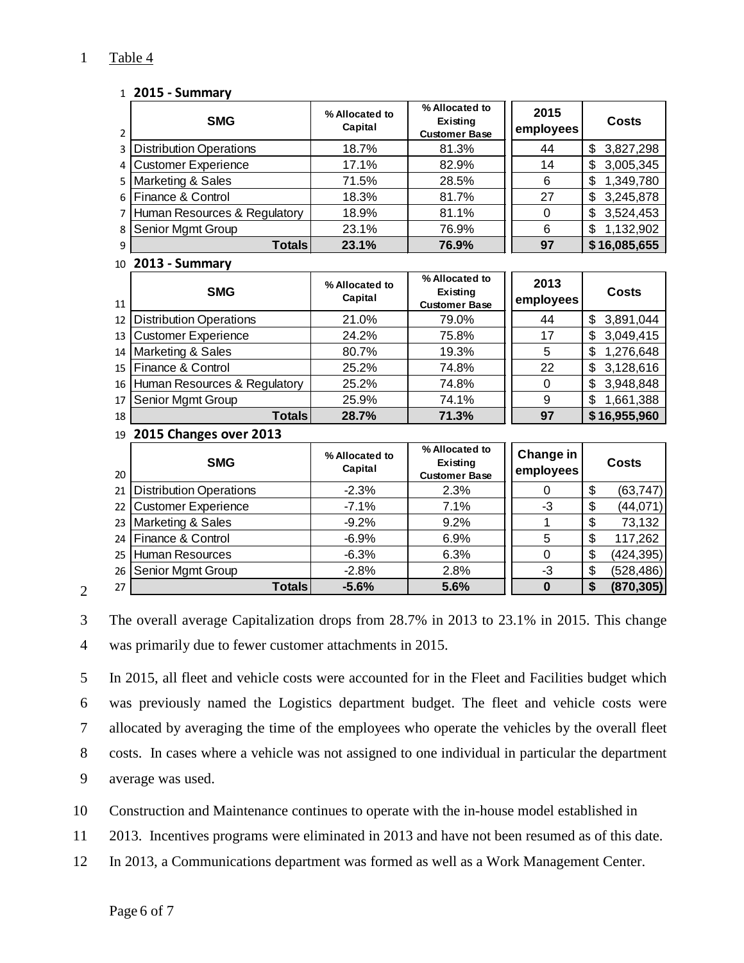# Table 4

#### **2015 - Summary**

| $\overline{2}$ | <b>SMG</b>                     | % Allocated to<br>Capital | % Allocated to<br>Existing<br><b>Customer Base</b> | 2015<br>employees      | <b>Costs</b>     |
|----------------|--------------------------------|---------------------------|----------------------------------------------------|------------------------|------------------|
| 3              | <b>Distribution Operations</b> | 18.7%                     | 81.3%                                              | 44                     | \$<br>3,827,298  |
| 4              | <b>Customer Experience</b>     | 17.1%                     | 82.9%                                              | 14                     | \$<br>3,005,345  |
| 5              | Marketing & Sales              | 71.5%                     | 28.5%                                              | 6                      | \$<br>1,349,780  |
| 6              | Finance & Control              | 18.3%                     | 81.7%                                              | 27                     | \$<br>3,245,878  |
| 7              | Human Resources & Regulatory   | 18.9%                     | 81.1%                                              | $\mathbf 0$            | \$<br>3,524,453  |
| 8              | Senior Mgmt Group              | 23.1%                     | 76.9%                                              | 6                      | \$<br>1,132,902  |
| 9              | <b>Totals</b>                  | 23.1%                     | 76.9%                                              | 97                     | \$16,085,655     |
| 10             | 2013 - Summary                 |                           |                                                    |                        |                  |
| 11             | <b>SMG</b>                     | % Allocated to<br>Capital | % Allocated to<br>Existing<br><b>Customer Base</b> | 2013<br>employees      | <b>Costs</b>     |
| 12             | <b>Distribution Operations</b> | 21.0%                     | 79.0%                                              | 44                     | \$<br>3,891,044  |
| 13             | <b>Customer Experience</b>     | 24.2%                     | 75.8%                                              | 17                     | \$<br>3,049,415  |
| 14             | Marketing & Sales              | 80.7%                     | 19.3%                                              | 5                      | \$<br>1,276,648  |
| 15             | Finance & Control              | 25.2%                     | 74.8%                                              | 22                     | \$<br>3,128,616  |
| 16             | Human Resources & Regulatory   | 25.2%                     | 74.8%                                              | $\overline{0}$         | \$<br>3,948,848  |
| 17             | Senior Mgmt Group              | 25.9%                     | 74.1%                                              | 9                      | \$<br>1,661,388  |
| 18             | <b>Totals</b>                  | 28.7%                     | 71.3%                                              | 97                     | \$16,955,960     |
| 19             | 2015 Changes over 2013         |                           |                                                    |                        |                  |
| 20             | <b>SMG</b>                     | % Allocated to<br>Capital | % Allocated to<br>Existing<br><b>Customer Base</b> | Change in<br>employees | <b>Costs</b>     |
| 21             | <b>Distribution Operations</b> | $-2.3%$                   | 2.3%                                               | $\Omega$               | \$<br>(63, 747)  |
| 22             | <b>Customer Experience</b>     | $-7.1%$                   | 7.1%                                               | $-3$                   | \$<br>(44, 071)  |
| 23             | Marketing & Sales              | $-9.2%$                   | 9.2%                                               | 1                      | \$<br>73,132     |
| 24             | Finance & Control              | $-6.9%$                   | 6.9%                                               | 5                      | \$<br>117,262    |
| 25             | <b>Human Resources</b>         | $-6.3%$                   | 6.3%                                               | $\mathbf 0$            | \$<br>(424, 395) |
| 26             | Senior Mgmt Group              | $-2.8%$                   | 2.8%                                               | $-3$                   | \$<br>(528,486)  |
| 27             | <b>Totals</b>                  | $-5.6%$                   | 5.6%                                               | $\bf{0}$               | \$<br>(870, 305) |

## 

 The overall average Capitalization drops from 28.7% in 2013 to 23.1% in 2015. This change was primarily due to fewer customer attachments in 2015.

 In 2015, all fleet and vehicle costs were accounted for in the Fleet and Facilities budget which was previously named the Logistics department budget. The fleet and vehicle costs were allocated by averaging the time of the employees who operate the vehicles by the overall fleet costs. In cases where a vehicle was not assigned to one individual in particular the department average was used.

Construction and Maintenance continues to operate with the in-house model established in

2013. Incentives programs were eliminated in 2013 and have not been resumed as of this date.

In 2013, a Communications department was formed as well as a Work Management Center.